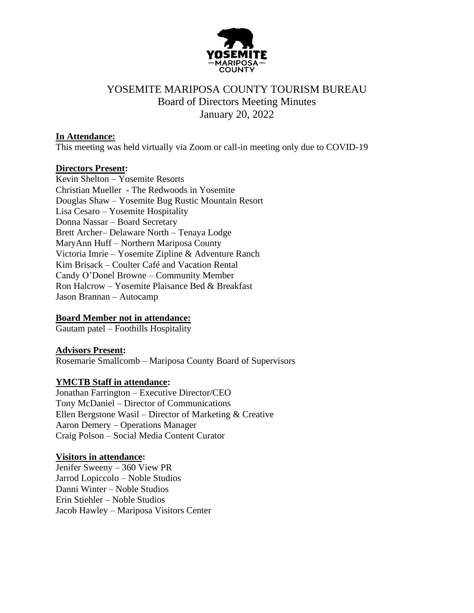

# YOSEMITE MARIPOSA COUNTY TOURISM BUREAU Board of Directors Meeting Minutes January 20, 2022

#### **In Attendance:**

This meeting was held virtually via Zoom or call-in meeting only due to COVID-19

#### **Directors Present:**

Kevin Shelton – Yosemite Resorts Christian Mueller - The Redwoods in Yosemite Douglas Shaw – Yosemite Bug Rustic Mountain Resort Lisa Cesaro – Yosemite Hospitality Donna Nassar – Board Secretary Brett Archer– Delaware North – Tenaya Lodge MaryAnn Huff – Northern Mariposa County Victoria Imrie – Yosemite Zipline & Adventure Ranch Kim Brisack – Coulter Café and Vacation Rental Candy O'Donel Browne – Community Member Ron Halcrow – Yosemite Plaisance Bed & Breakfast Jason Brannan – Autocamp

## **Board Member not in attendance:**

Gautam patel – Foothills Hospitality

#### **Advisors Present:**

Rosemarie Smallcomb – Mariposa County Board of Supervisors

## **YMCTB Staff in attendance:**

Jonathan Farrington – Executive Director/CEO Tony McDaniel – Director of Communications Ellen Bergstone Wasil – Director of Marketing & Creative Aaron Demery – Operations Manager Craig Polson – Social Media Content Curator

#### **Visitors in attendance:**

Jenifer Sweeny – 360 View PR Jarrod Lopiccolo – Noble Studios Danni Winter – Noble Studios Erin Stiehler – Noble Studios Jacob Hawley – Mariposa Visitors Center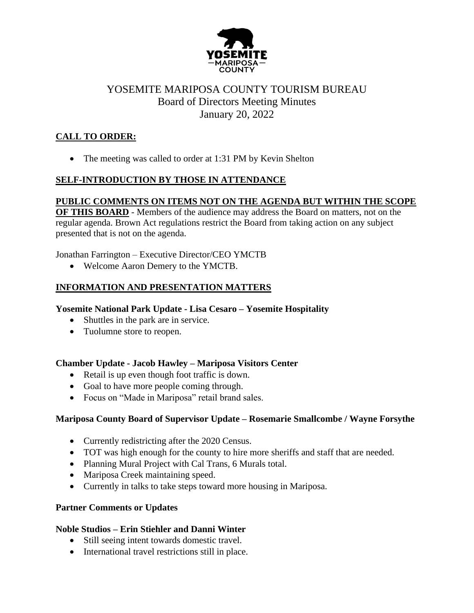

# YOSEMITE MARIPOSA COUNTY TOURISM BUREAU Board of Directors Meeting Minutes January 20, 2022

# **CALL TO ORDER:**

• The meeting was called to order at 1:31 PM by Kevin Shelton

# **SELF-INTRODUCTION BY THOSE IN ATTENDANCE**

## **PUBLIC COMMENTS ON ITEMS NOT ON THE AGENDA BUT WITHIN THE SCOPE**

**OF THIS BOARD** - Members of the audience may address the Board on matters, not on the regular agenda. Brown Act regulations restrict the Board from taking action on any subject presented that is not on the agenda.

Jonathan Farrington – Executive Director/CEO YMCTB

• Welcome Aaron Demery to the YMCTB.

# **INFORMATION AND PRESENTATION MATTERS**

## **Yosemite National Park Update - Lisa Cesaro – Yosemite Hospitality**

- Shuttles in the park are in service.
- Tuolumne store to reopen.

## **Chamber Update - Jacob Hawley – Mariposa Visitors Center**

- Retail is up even though foot traffic is down.
- Goal to have more people coming through.
- Focus on "Made in Mariposa" retail brand sales.

## **Mariposa County Board of Supervisor Update – Rosemarie Smallcombe / Wayne Forsythe**

- Currently redistricting after the 2020 Census.
- TOT was high enough for the county to hire more sheriffs and staff that are needed.
- Planning Mural Project with Cal Trans, 6 Murals total.
- Mariposa Creek maintaining speed.
- Currently in talks to take steps toward more housing in Mariposa.

## **Partner Comments or Updates**

## **Noble Studios – Erin Stiehler and Danni Winter**

- Still seeing intent towards domestic travel.
- International travel restrictions still in place.